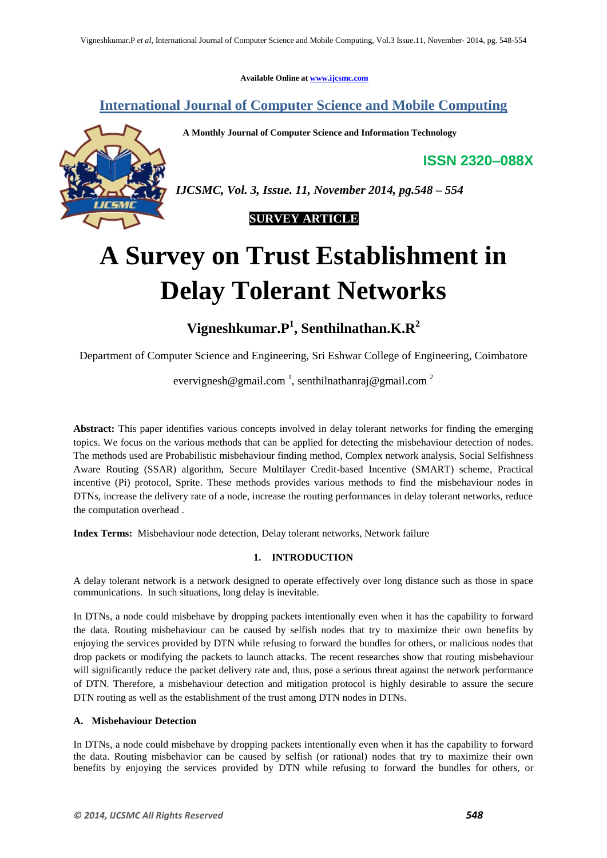**Available Online at www.ijcsmc.com**

# **International Journal of Computer Science and Mobile Computing**

 **A Monthly Journal of Computer Science and Information Technology**

**ISSN 2320–088X**



*IJCSMC, Vol. 3, Issue. 11, November 2014, pg.548 – 554*

 **SURVEY ARTICLE**

# **A Survey on Trust Establishment in Delay Tolerant Networks**

# **Vigneshkumar.P<sup>1</sup> , Senthilnathan.K.R<sup>2</sup>**

Department of Computer Science and Engineering, Sri Eshwar College of Engineering, Coimbatore

evervignesh@gmail.com  $^1$ , senthilnathanraj@gmail.com  $^2$ 

**Abstract:** This paper identifies various concepts involved in delay tolerant networks for finding the emerging topics. We focus on the various methods that can be applied for detecting the misbehaviour detection of nodes. The methods used are Probabilistic misbehaviour finding method, Complex network analysis, Social Selfishness Aware Routing (SSAR) algorithm, Secure Multilayer Credit-based Incentive (SMART) scheme, Practical incentive (Pi) protocol, Sprite. These methods provides various methods to find the misbehaviour nodes in DTNs, increase the delivery rate of a node, increase the routing performances in delay tolerant networks, reduce the computation overhead .

**Index Terms:** Misbehaviour node detection, Delay tolerant networks, Network failure

# **1. INTRODUCTION**

A delay tolerant network is a network designed to operate effectively over long distance such as those in space communications. In such situations, long delay is inevitable.

In DTNs, a node could misbehave by dropping packets intentionally even when it has the capability to forward the data. Routing misbehaviour can be caused by selfish nodes that try to maximize their own benefits by enjoying the services provided by DTN while refusing to forward the bundles for others, or malicious nodes that drop packets or modifying the packets to launch attacks. The recent researches show that routing misbehaviour will significantly reduce the packet delivery rate and, thus, pose a serious threat against the network performance of DTN. Therefore, a misbehaviour detection and mitigation protocol is highly desirable to assure the secure DTN routing as well as the establishment of the trust among DTN nodes in DTNs.

# **A. Misbehaviour Detection**

In DTNs, a node could misbehave by dropping packets intentionally even when it has the capability to forward the data. Routing misbehavior can be caused by selfish (or rational) nodes that try to maximize their own benefits by enjoying the services provided by DTN while refusing to forward the bundles for others, or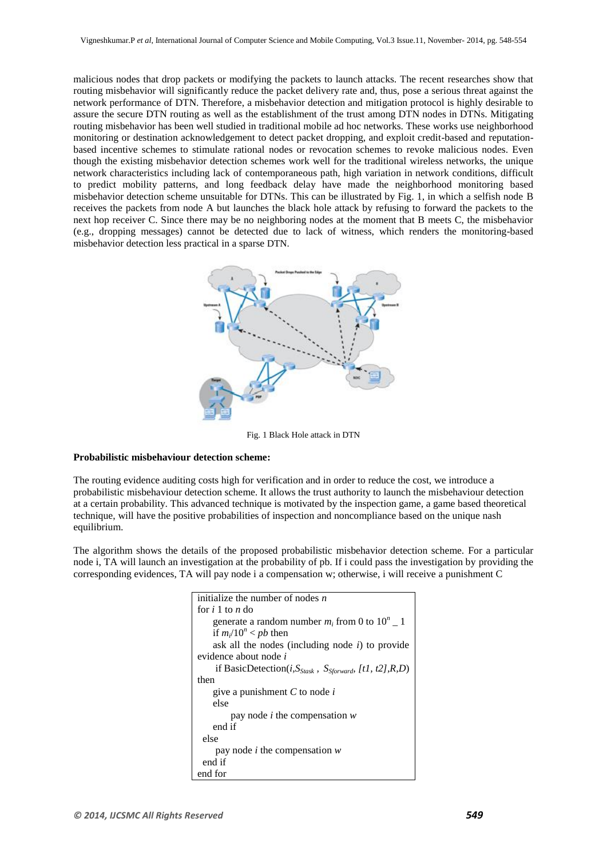malicious nodes that drop packets or modifying the packets to launch attacks. The recent researches show that routing misbehavior will significantly reduce the packet delivery rate and, thus, pose a serious threat against the network performance of DTN. Therefore, a misbehavior detection and mitigation protocol is highly desirable to assure the secure DTN routing as well as the establishment of the trust among DTN nodes in DTNs. Mitigating routing misbehavior has been well studied in traditional mobile ad hoc networks. These works use neighborhood monitoring or destination acknowledgement to detect packet dropping, and exploit credit-based and reputationbased incentive schemes to stimulate rational nodes or revocation schemes to revoke malicious nodes. Even though the existing misbehavior detection schemes work well for the traditional wireless networks, the unique network characteristics including lack of contemporaneous path, high variation in network conditions, difficult to predict mobility patterns, and long feedback delay have made the neighborhood monitoring based misbehavior detection scheme unsuitable for DTNs. This can be illustrated by Fig. 1, in which a selfish node B receives the packets from node A but launches the black hole attack by refusing to forward the packets to the next hop receiver C. Since there may be no neighboring nodes at the moment that B meets C, the misbehavior (e.g., dropping messages) cannot be detected due to lack of witness, which renders the monitoring-based misbehavior detection less practical in a sparse DTN.



Fig. 1 Black Hole attack in DTN

#### **Probabilistic misbehaviour detection scheme:**

The routing evidence auditing costs high for verification and in order to reduce the cost, we introduce a probabilistic misbehaviour detection scheme. It allows the trust authority to launch the misbehaviour detection at a certain probability. This advanced technique is motivated by the inspection game, a game based theoretical technique, will have the positive probabilities of inspection and noncompliance based on the unique nash equilibrium.

The algorithm shows the details of the proposed probabilistic misbehavior detection scheme. For a particular node i, TA will launch an investigation at the probability of pb. If i could pass the investigation by providing the corresponding evidences, TA will pay node i a compensation w; otherwise, i will receive a punishment C

| initialize the number of nodes $n$                                         |  |  |  |
|----------------------------------------------------------------------------|--|--|--|
| for $i\,1$ to n do                                                         |  |  |  |
| generate a random number $m_i$ from 0 to 10 <sup>n</sup> $\_$ 1            |  |  |  |
| if $m_i/10^n$ < <i>pb</i> then                                             |  |  |  |
| ask all the nodes (including node $i$ ) to provide                         |  |  |  |
| evidence about node <i>i</i>                                               |  |  |  |
| if BasicDetection( <i>i</i> , $S_{Stask}$ , $S_{Sforward}$ [t1, t2], R, D) |  |  |  |
| then                                                                       |  |  |  |
| give a punishment $C$ to node $i$                                          |  |  |  |
| else                                                                       |  |  |  |
| pay node $i$ the compensation $w$                                          |  |  |  |
| end if                                                                     |  |  |  |
| else                                                                       |  |  |  |
| pay node $i$ the compensation $w$                                          |  |  |  |
| end if                                                                     |  |  |  |
| end for                                                                    |  |  |  |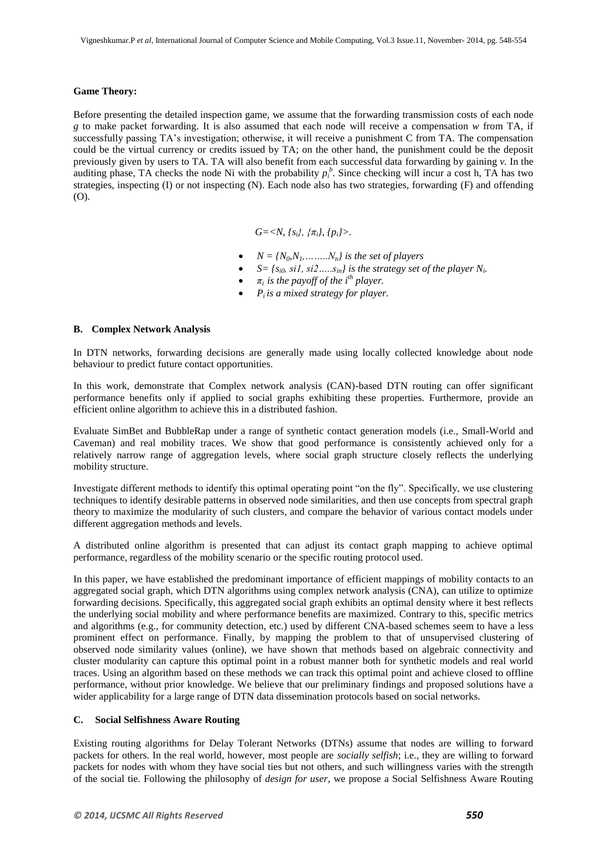#### **Game Theory:**

Before presenting the detailed inspection game, we assume that the forwarding transmission costs of each node *g* to make packet forwarding. It is also assumed that each node will receive a compensation *w* from TA, if successfully passing TA's investigation; otherwise, it will receive a punishment C from TA. The compensation could be the virtual currency or credits issued by TA; on the other hand, the punishment could be the deposit previously given by users to TA. TA will also benefit from each successful data forwarding by gaining *v.* In the auditing phase, TA checks the node Ni with the probability  $p_i^b$ . Since checking will incur a cost h, TA has two strategies, inspecting (I) or not inspecting (N). Each node also has two strategies, forwarding (F) and offending (O).

*G=<N, {si}, {πi}, {pi}>.*

- $N = \{N_0, N_1, \ldots, N_n\}$  *is the set of players*
- $S = \{s_{i0}, \text{si1}, \text{si2} \dots s_{in}\}\$ is the strategy set of the player  $N_i$ .
- *πi is the payoff of the ith player.*
- *Pi is a mixed strategy for player.*

## **B. Complex Network Analysis**

In DTN networks, forwarding decisions are generally made using locally collected knowledge about node behaviour to predict future contact opportunities.

In this work, demonstrate that Complex network analysis (CAN)-based DTN routing can offer significant performance benefits only if applied to social graphs exhibiting these properties. Furthermore, provide an efficient online algorithm to achieve this in a distributed fashion.

Evaluate SimBet and BubbleRap under a range of synthetic contact generation models (i.e., Small-World and Caveman) and real mobility traces. We show that good performance is consistently achieved only for a relatively narrow range of aggregation levels, where social graph structure closely reflects the underlying mobility structure.

Investigate different methods to identify this optimal operating point "on the fly". Specifically, we use clustering techniques to identify desirable patterns in observed node similarities, and then use concepts from spectral graph theory to maximize the modularity of such clusters, and compare the behavior of various contact models under different aggregation methods and levels.

A distributed online algorithm is presented that can adjust its contact graph mapping to achieve optimal performance, regardless of the mobility scenario or the specific routing protocol used.

In this paper, we have established the predominant importance of efficient mappings of mobility contacts to an aggregated social graph, which DTN algorithms using complex network analysis (CNA), can utilize to optimize forwarding decisions. Specifically, this aggregated social graph exhibits an optimal density where it best reflects the underlying social mobility and where performance benefits are maximized. Contrary to this, specific metrics and algorithms (e.g., for community detection, etc.) used by different CNA-based schemes seem to have a less prominent effect on performance. Finally, by mapping the problem to that of unsupervised clustering of observed node similarity values (online), we have shown that methods based on algebraic connectivity and cluster modularity can capture this optimal point in a robust manner both for synthetic models and real world traces. Using an algorithm based on these methods we can track this optimal point and achieve closed to offline performance, without prior knowledge. We believe that our preliminary findings and proposed solutions have a wider applicability for a large range of DTN data dissemination protocols based on social networks.

#### **C. Social Selfishness Aware Routing**

Existing routing algorithms for Delay Tolerant Networks (DTNs) assume that nodes are willing to forward packets for others. In the real world, however, most people are *socially selfish*; i.e., they are willing to forward packets for nodes with whom they have social ties but not others, and such willingness varies with the strength of the social tie. Following the philosophy of *design for user*, we propose a Social Selfishness Aware Routing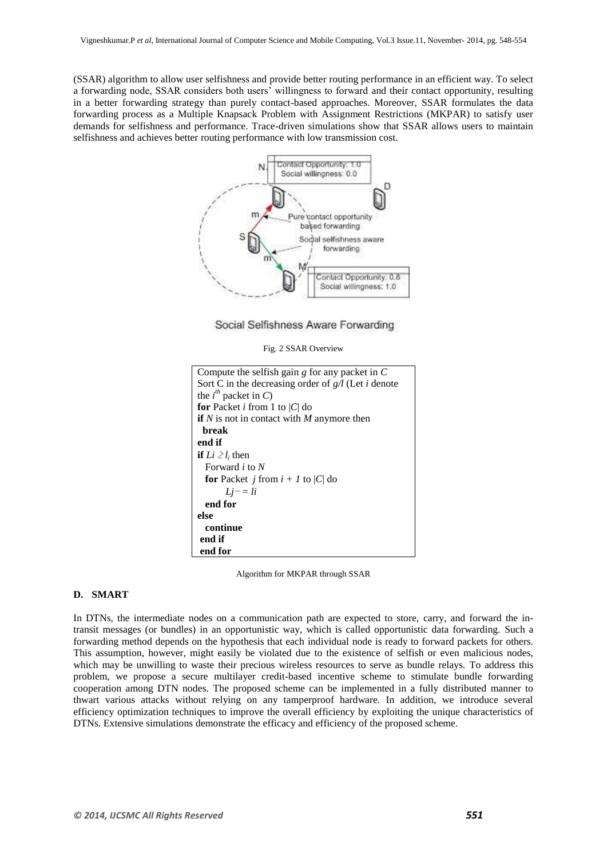(SSAR) algorithm to allow user selfishness and provide better routing performance in an efficient way. To select a forwarding node, SSAR considers both users' willingness to forward and their contact opportunity, resulting in a better forwarding strategy than purely contact-based approaches. Moreover, SSAR formulates the data forwarding process as a Multiple Knapsack Problem with Assignment Restrictions (MKPAR) to satisfy user demands for selfishness and performance. Trace-driven simulations show that SSAR allows users to maintain selfishness and achieves better routing performance with low transmission cost.



Social Selfishness Aware Forwarding

Fig. 2 SSAR Overview

| Compute the selfish gain g for any packet in $C$             |  |  |  |
|--------------------------------------------------------------|--|--|--|
| Sort C in the decreasing order of $g/l$ (Let <i>i</i> denote |  |  |  |
| the $i^{th}$ packet in C)                                    |  |  |  |
| for Packet <i>i</i> from 1 to $ C $ do                       |  |  |  |
| <b>if</b> $N$ is not in contact with $M$ anymore then        |  |  |  |
| break                                                        |  |  |  |
| end if                                                       |  |  |  |
| <b>if</b> $Li \geq l_i$ then                                 |  |  |  |
| Forward $i$ to $N$                                           |  |  |  |
| <b>for</b> Packet <i>i</i> from $i + 1$ to  C  do            |  |  |  |
| $Lj = li$                                                    |  |  |  |
| end for                                                      |  |  |  |
| else                                                         |  |  |  |
| continue                                                     |  |  |  |
| end if                                                       |  |  |  |
| end for                                                      |  |  |  |

Algorithm for MKPAR through SSAR

# **D. SMART**

In DTNs, the intermediate nodes on a communication path are expected to store, carry, and forward the intransit messages (or bundles) in an opportunistic way, which is called opportunistic data forwarding. Such a forwarding method depends on the hypothesis that each individual node is ready to forward packets for others. This assumption, however, might easily be violated due to the existence of selfish or even malicious nodes, which may be unwilling to waste their precious wireless resources to serve as bundle relays. To address this problem, we propose a secure multilayer credit-based incentive scheme to stimulate bundle forwarding cooperation among DTN nodes. The proposed scheme can be implemented in a fully distributed manner to thwart various attacks without relying on any tamperproof hardware. In addition, we introduce several efficiency optimization techniques to improve the overall efficiency by exploiting the unique characteristics of DTNs. Extensive simulations demonstrate the efficacy and efficiency of the proposed scheme.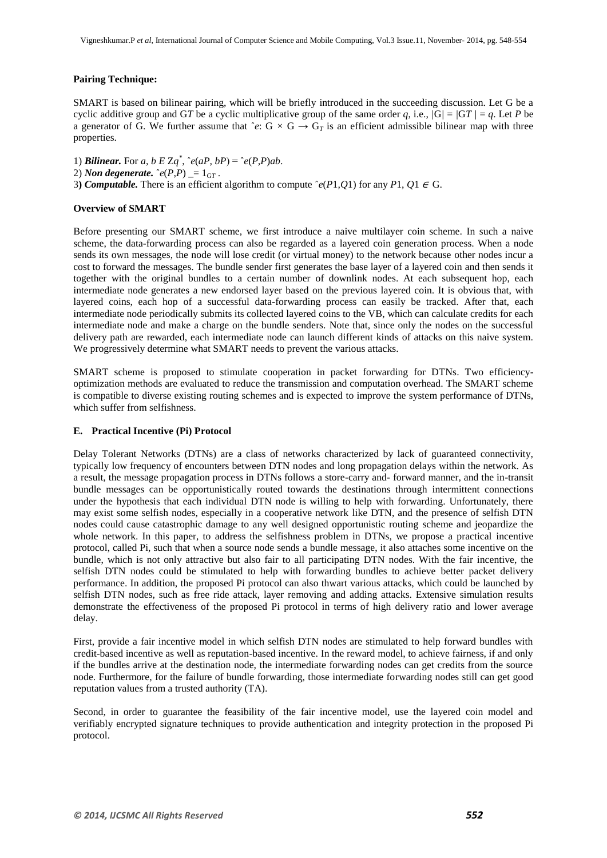## **Pairing Technique:**

SMART is based on bilinear pairing, which will be briefly introduced in the succeeding discussion. Let G be a cyclic additive group and GT be a cyclic multiplicative group of the same order *q*, i.e.,  $|G| = |GT| = q$ . Let *P* be a generator of G. We further assume that  $\hat{e}: G \times G \to G_T$  is an efficient admissible bilinear map with three properties.

1) **Bilinear.** For *a*, *b*  $E Zq^*$ ,  $\hat{e}(aP, bP) = \hat{e}(P, P)ab$ .

2) *Non* degenerate.  $\hat{e}(P,P) = 1_{GT}$ .

3) *Computable.* There is an efficient algorithm to compute  $\hat{e}(P1, Q1)$  for any P1,  $Q1 \in G$ .

## **Overview of SMART**

Before presenting our SMART scheme, we first introduce a naive multilayer coin scheme. In such a naive scheme, the data-forwarding process can also be regarded as a layered coin generation process. When a node sends its own messages, the node will lose credit (or virtual money) to the network because other nodes incur a cost to forward the messages. The bundle sender first generates the base layer of a layered coin and then sends it together with the original bundles to a certain number of downlink nodes. At each subsequent hop, each intermediate node generates a new endorsed layer based on the previous layered coin. It is obvious that, with layered coins, each hop of a successful data-forwarding process can easily be tracked. After that, each intermediate node periodically submits its collected layered coins to the VB, which can calculate credits for each intermediate node and make a charge on the bundle senders. Note that, since only the nodes on the successful delivery path are rewarded, each intermediate node can launch different kinds of attacks on this naive system. We progressively determine what SMART needs to prevent the various attacks.

SMART scheme is proposed to stimulate cooperation in packet forwarding for DTNs. Two efficiencyoptimization methods are evaluated to reduce the transmission and computation overhead. The SMART scheme is compatible to diverse existing routing schemes and is expected to improve the system performance of DTNs, which suffer from selfishness.

#### **E. Practical Incentive (Pi) Protocol**

Delay Tolerant Networks (DTNs) are a class of networks characterized by lack of guaranteed connectivity, typically low frequency of encounters between DTN nodes and long propagation delays within the network. As a result, the message propagation process in DTNs follows a store-carry and- forward manner, and the in-transit bundle messages can be opportunistically routed towards the destinations through intermittent connections under the hypothesis that each individual DTN node is willing to help with forwarding. Unfortunately, there may exist some selfish nodes, especially in a cooperative network like DTN, and the presence of selfish DTN nodes could cause catastrophic damage to any well designed opportunistic routing scheme and jeopardize the whole network. In this paper, to address the selfishness problem in DTNs, we propose a practical incentive protocol, called Pi, such that when a source node sends a bundle message, it also attaches some incentive on the bundle, which is not only attractive but also fair to all participating DTN nodes. With the fair incentive, the selfish DTN nodes could be stimulated to help with forwarding bundles to achieve better packet delivery performance. In addition, the proposed Pi protocol can also thwart various attacks, which could be launched by selfish DTN nodes, such as free ride attack, layer removing and adding attacks. Extensive simulation results demonstrate the effectiveness of the proposed Pi protocol in terms of high delivery ratio and lower average delay.

First, provide a fair incentive model in which selfish DTN nodes are stimulated to help forward bundles with credit-based incentive as well as reputation-based incentive. In the reward model, to achieve fairness, if and only if the bundles arrive at the destination node, the intermediate forwarding nodes can get credits from the source node. Furthermore, for the failure of bundle forwarding, those intermediate forwarding nodes still can get good reputation values from a trusted authority (TA).

Second, in order to guarantee the feasibility of the fair incentive model, use the layered coin model and verifiably encrypted signature techniques to provide authentication and integrity protection in the proposed Pi protocol.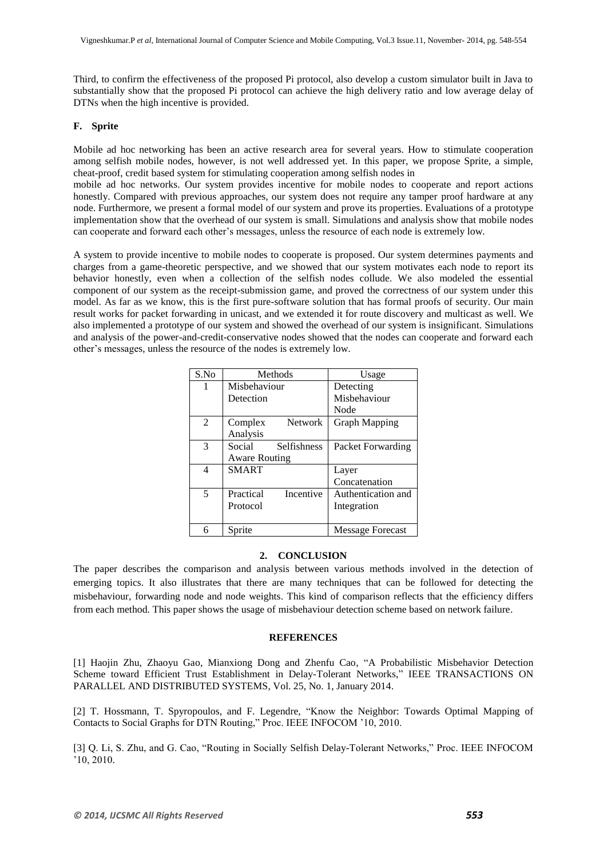Third, to confirm the effectiveness of the proposed Pi protocol, also develop a custom simulator built in Java to substantially show that the proposed Pi protocol can achieve the high delivery ratio and low average delay of DTNs when the high incentive is provided.

# **F. Sprite**

Mobile ad hoc networking has been an active research area for several years. How to stimulate cooperation among selfish mobile nodes, however, is not well addressed yet. In this paper, we propose Sprite, a simple, cheat-proof, credit based system for stimulating cooperation among selfish nodes in

mobile ad hoc networks. Our system provides incentive for mobile nodes to cooperate and report actions honestly. Compared with previous approaches, our system does not require any tamper proof hardware at any node. Furthermore, we present a formal model of our system and prove its properties. Evaluations of a prototype implementation show that the overhead of our system is small. Simulations and analysis show that mobile nodes can cooperate and forward each other's messages, unless the resource of each node is extremely low.

A system to provide incentive to mobile nodes to cooperate is proposed. Our system determines payments and charges from a game-theoretic perspective, and we showed that our system motivates each node to report its behavior honestly, even when a collection of the selfish nodes collude. We also modeled the essential component of our system as the receipt-submission game, and proved the correctness of our system under this model. As far as we know, this is the first pure-software solution that has formal proofs of security. Our main result works for packet forwarding in unicast, and we extended it for route discovery and multicast as well. We also implemented a prototype of our system and showed the overhead of our system is insignificant. Simulations and analysis of the power-and-credit-conservative nodes showed that the nodes can cooperate and forward each other's messages, unless the resource of the nodes is extremely low.

| S.No          | Methods                   | Usage                   |
|---------------|---------------------------|-------------------------|
| 1             | Misbehaviour              | Detecting               |
|               | Detection                 | Misbehaviour            |
|               |                           | Node                    |
| 2             | <b>Network</b><br>Complex | <b>Graph Mapping</b>    |
|               | Analysis                  |                         |
| $\mathcal{R}$ | Selfishness<br>Social     | Packet Forwarding       |
|               | <b>Aware Routing</b>      |                         |
| Δ             | <b>SMART</b>              | Layer                   |
|               |                           | Concatenation           |
| 5             | Incentive<br>Practical    | Authentication and      |
|               | Protocol                  | Integration             |
|               |                           |                         |
| 6             | Sprite                    | <b>Message Forecast</b> |

#### **2. CONCLUSION**

The paper describes the comparison and analysis between various methods involved in the detection of emerging topics. It also illustrates that there are many techniques that can be followed for detecting the misbehaviour, forwarding node and node weights. This kind of comparison reflects that the efficiency differs from each method. This paper shows the usage of misbehaviour detection scheme based on network failure.

#### **REFERENCES**

[1] Haojin Zhu, Zhaoyu Gao, Mianxiong Dong and Zhenfu Cao, "A Probabilistic Misbehavior Detection Scheme toward Efficient Trust Establishment in Delay-Tolerant Networks," IEEE TRANSACTIONS ON PARALLEL AND DISTRIBUTED SYSTEMS, Vol. 25, No. 1, January 2014.

[2] T. Hossmann, T. Spyropoulos, and F. Legendre, "Know the Neighbor: Towards Optimal Mapping of Contacts to Social Graphs for DTN Routing," Proc. IEEE INFOCOM '10, 2010.

[3] Q. Li, S. Zhu, and G. Cao, "Routing in Socially Selfish Delay-Tolerant Networks," Proc. IEEE INFOCOM '10, 2010.